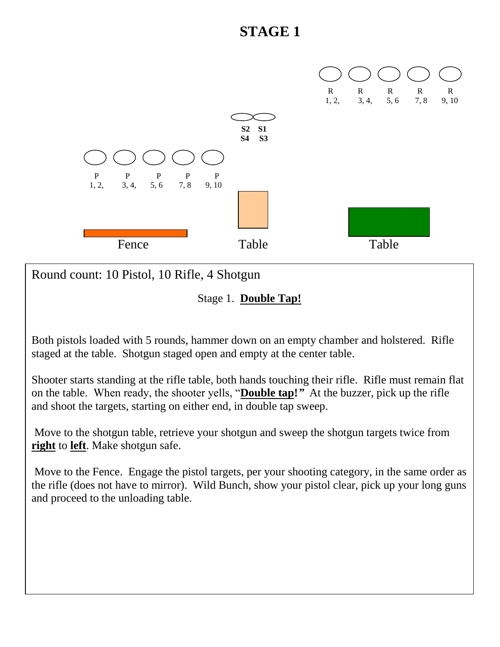

Round count: 10 Pistol, 10 Rifle, 4 Shotgun

Stage 1. **Double Tap!**

Both pistols loaded with 5 rounds, hammer down on an empty chamber and holstered. Rifle staged at the table. Shotgun staged open and empty at the center table.

Shooter starts standing at the rifle table, both hands touching their rifle. Rifle must remain flat on the table. When ready, the shooter yells, "**Double tap!***"* At the buzzer, pick up the rifle and shoot the targets, starting on either end, in double tap sweep.

Move to the shotgun table, retrieve your shotgun and sweep the shotgun targets twice from **right** to **left**. Make shotgun safe.

Move to the Fence. Engage the pistol targets, per your shooting category, in the same order as the rifle (does not have to mirror). Wild Bunch, show your pistol clear, pick up your long guns and proceed to the unloading table.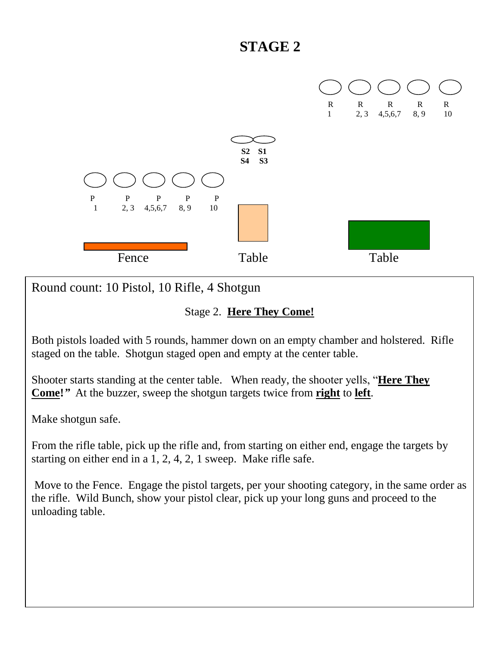

Round count: 10 Pistol, 10 Rifle, 4 Shotgun

#### Stage 2. **Here They Come!**

Both pistols loaded with 5 rounds, hammer down on an empty chamber and holstered. Rifle staged on the table. Shotgun staged open and empty at the center table.

Shooter starts standing at the center table. When ready, the shooter yells, "**Here They Come!***"* At the buzzer, sweep the shotgun targets twice from **right** to **left**.

Make shotgun safe.

From the rifle table, pick up the rifle and, from starting on either end, engage the targets by starting on either end in a 1, 2, 4, 2, 1 sweep. Make rifle safe.

Move to the Fence. Engage the pistol targets, per your shooting category, in the same order as the rifle. Wild Bunch, show your pistol clear, pick up your long guns and proceed to the unloading table.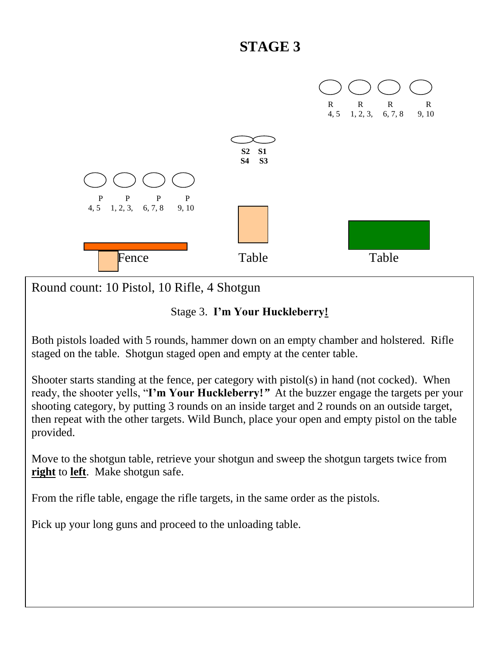

Round count: 10 Pistol, 10 Rifle, 4 Shotgun

#### Stage 3. **I'm Your Huckleberry!**

Both pistols loaded with 5 rounds, hammer down on an empty chamber and holstered. Rifle staged on the table. Shotgun staged open and empty at the center table.

Shooter starts standing at the fence, per category with pistol(s) in hand (not cocked). When ready, the shooter yells, "**I'm Your Huckleberry!***"* At the buzzer engage the targets per your shooting category, by putting 3 rounds on an inside target and 2 rounds on an outside target, then repeat with the other targets. Wild Bunch, place your open and empty pistol on the table provided.

Move to the shotgun table, retrieve your shotgun and sweep the shotgun targets twice from **right** to **left**. Make shotgun safe.

From the rifle table, engage the rifle targets, in the same order as the pistols.

Pick up your long guns and proceed to the unloading table.